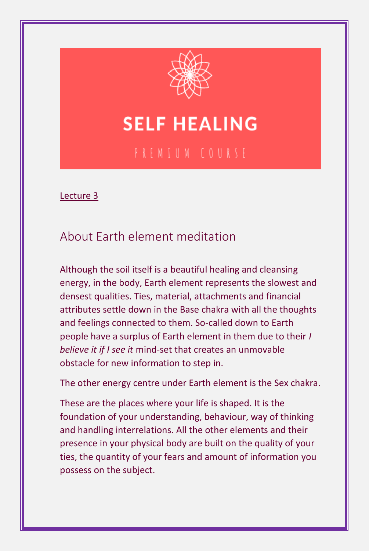

## **SELF HEALING**

Lecture 3

## About Earth element meditation

Although the soil itself is a beautiful healing and cleansing energy, in the body, Earth element represents the slowest and densest qualities. Ties, material, attachments and financial attributes settle down in the Base chakra with all the thoughts and feelings connected to them. So-called down to Earth people have a surplus of Earth element in them due to their *I believe it if I see it* mind-set that creates an unmovable obstacle for new information to step in.

The other energy centre under Earth element is the Sex chakra.

These are the places where your life is shaped. It is the foundation of your understanding, behaviour, way of thinking and handling interrelations. All the other elements and their presence in your physical body are built on the quality of your ties, the quantity of your fears and amount of information you possess on the subject.